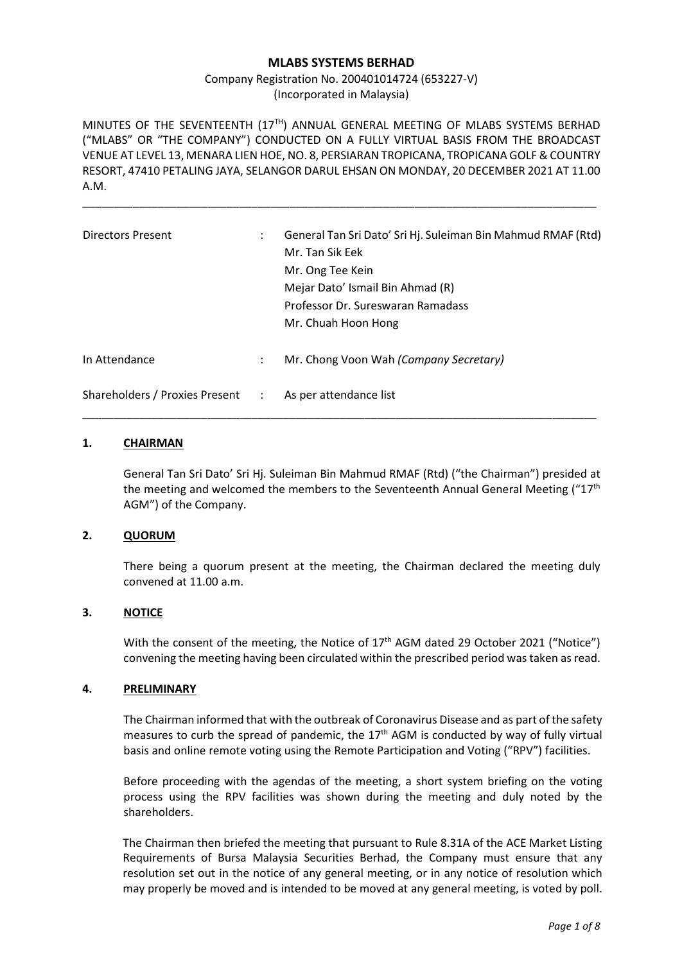### **MLABS SYSTEMS BERHAD**

Company Registration No. 200401014724 (653227-V) (Incorporated in Malaysia)

MINUTES OF THE SEVENTEENTH  $(17<sup>TH</sup>)$  ANNUAL GENERAL MEETING OF MLABS SYSTEMS BERHAD ("MLABS" OR "THE COMPANY") CONDUCTED ON A FULLY VIRTUAL BASIS FROM THE BROADCAST VENUE AT LEVEL 13, MENARA LIEN HOE, NO. 8, PERSIARAN TROPICANA, TROPICANA GOLF & COUNTRY RESORT, 47410 PETALING JAYA, SELANGOR DARUL EHSAN ON MONDAY, 20 DECEMBER 2021 AT 11.00 A.M.

\_\_\_\_\_\_\_\_\_\_\_\_\_\_\_\_\_\_\_\_\_\_\_\_\_\_\_\_\_\_\_\_\_\_\_\_\_\_\_\_\_\_\_\_\_\_\_\_\_\_\_\_\_\_\_\_\_\_\_\_\_\_\_\_\_\_\_\_\_\_\_\_\_\_\_\_\_\_\_\_\_\_

| <b>Directors Present</b>         | $\ddot{\phantom{a}}$ | General Tan Sri Dato' Sri Hj. Suleiman Bin Mahmud RMAF (Rtd)<br>Mr. Tan Sik Eek<br>Mr. Ong Tee Kein<br>Mejar Dato' Ismail Bin Ahmad (R)<br>Professor Dr. Sureswaran Ramadass<br>Mr. Chuah Hoon Hong |
|----------------------------------|----------------------|-----------------------------------------------------------------------------------------------------------------------------------------------------------------------------------------------------|
| In Attendance                    | $\ddot{\phantom{a}}$ | Mr. Chong Voon Wah (Company Secretary)                                                                                                                                                              |
| Shareholders / Proxies Present : |                      | As per attendance list                                                                                                                                                                              |

#### **1. CHAIRMAN**

General Tan Sri Dato' Sri Hj. Suleiman Bin Mahmud RMAF (Rtd) ("the Chairman") presided at the meeting and welcomed the members to the Seventeenth Annual General Meeting  $(17<sup>th</sup>)$ AGM") of the Company.

#### **2. QUORUM**

There being a quorum present at the meeting, the Chairman declared the meeting duly convened at 11.00 a.m.

## **3. NOTICE**

With the consent of the meeting, the Notice of  $17<sup>th</sup>$  AGM dated 29 October 2021 ("Notice") convening the meeting having been circulated within the prescribed period was taken as read.

### **4. PRELIMINARY**

The Chairman informed that with the outbreak of Coronavirus Disease and as part of the safety measures to curb the spread of pandemic, the  $17<sup>th</sup>$  AGM is conducted by way of fully virtual basis and online remote voting using the Remote Participation and Voting ("RPV") facilities.

Before proceeding with the agendas of the meeting, a short system briefing on the voting process using the RPV facilities was shown during the meeting and duly noted by the shareholders.

The Chairman then briefed the meeting that pursuant to Rule 8.31A of the ACE Market Listing Requirements of Bursa Malaysia Securities Berhad, the Company must ensure that any resolution set out in the notice of any general meeting, or in any notice of resolution which may properly be moved and is intended to be moved at any general meeting, is voted by poll.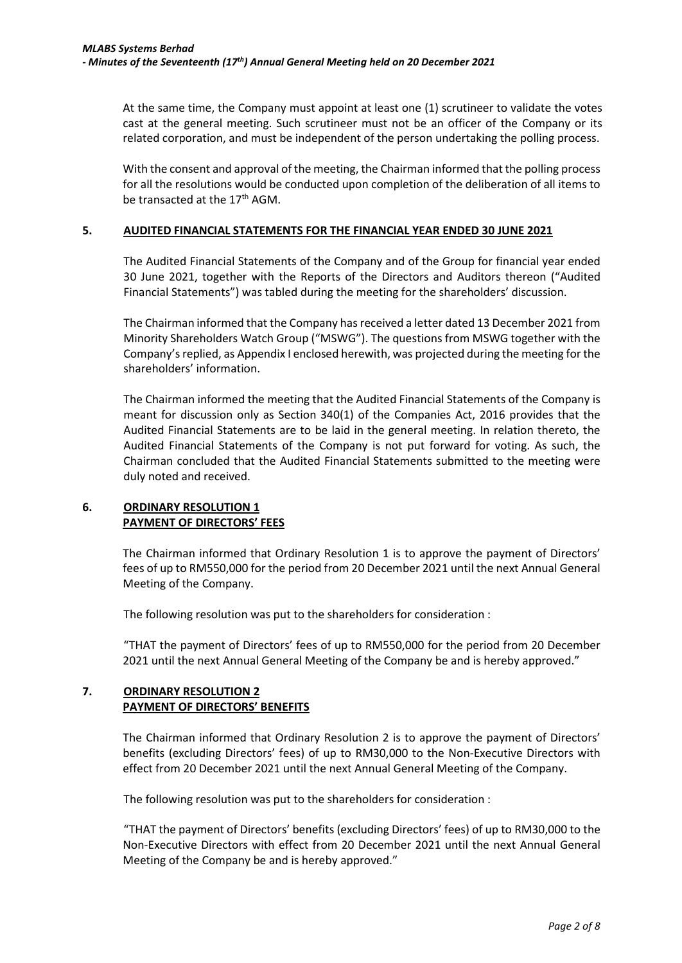At the same time, the Company must appoint at least one (1) scrutineer to validate the votes cast at the general meeting. Such scrutineer must not be an officer of the Company or its related corporation, and must be independent of the person undertaking the polling process.

With the consent and approval of the meeting, the Chairman informed that the polling process for all the resolutions would be conducted upon completion of the deliberation of all items to be transacted at the 17<sup>th</sup> AGM.

### **5. AUDITED FINANCIAL STATEMENTS FOR THE FINANCIAL YEAR ENDED 30 JUNE 2021**

The Audited Financial Statements of the Company and of the Group for financial year ended 30 June 2021, together with the Reports of the Directors and Auditors thereon ("Audited Financial Statements") was tabled during the meeting for the shareholders' discussion.

The Chairman informed that the Company has received a letter dated 13 December 2021 from Minority Shareholders Watch Group ("MSWG"). The questions from MSWG together with the Company's replied, as Appendix I enclosed herewith, was projected during the meeting for the shareholders' information.

The Chairman informed the meeting that the Audited Financial Statements of the Company is meant for discussion only as Section 340(1) of the Companies Act, 2016 provides that the Audited Financial Statements are to be laid in the general meeting. In relation thereto, the Audited Financial Statements of the Company is not put forward for voting. As such, the Chairman concluded that the Audited Financial Statements submitted to the meeting were duly noted and received.

# **6. ORDINARY RESOLUTION 1 PAYMENT OF DIRECTORS' FEES**

The Chairman informed that Ordinary Resolution 1 is to approve the payment of Directors' fees of up to RM550,000 for the period from 20 December 2021 until the next Annual General Meeting of the Company.

The following resolution was put to the shareholders for consideration :

"THAT the payment of Directors' fees of up to RM550,000 for the period from 20 December 2021 until the next Annual General Meeting of the Company be and is hereby approved."

# **7. ORDINARY RESOLUTION 2 PAYMENT OF DIRECTORS' BENEFITS**

The Chairman informed that Ordinary Resolution 2 is to approve the payment of Directors' benefits (excluding Directors' fees) of up to RM30,000 to the Non-Executive Directors with effect from 20 December 2021 until the next Annual General Meeting of the Company.

The following resolution was put to the shareholders for consideration :

"THAT the payment of Directors' benefits (excluding Directors' fees) of up to RM30,000 to the Non-Executive Directors with effect from 20 December 2021 until the next Annual General Meeting of the Company be and is hereby approved."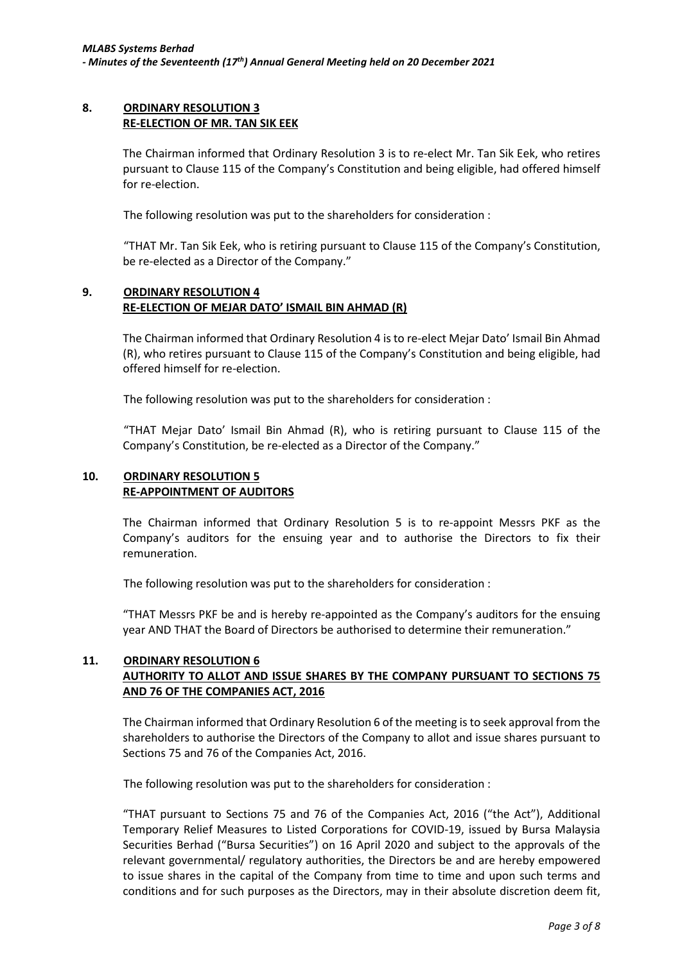### **8. ORDINARY RESOLUTION 3 RE-ELECTION OF MR. TAN SIK EEK**

The Chairman informed that Ordinary Resolution 3 is to re-elect Mr. Tan Sik Eek, who retires pursuant to Clause 115 of the Company's Constitution and being eligible, had offered himself for re-election.

The following resolution was put to the shareholders for consideration :

"THAT Mr. Tan Sik Eek, who is retiring pursuant to Clause 115 of the Company's Constitution, be re-elected as a Director of the Company."

### **9. ORDINARY RESOLUTION 4 RE-ELECTION OF MEJAR DATO' ISMAIL BIN AHMAD (R)**

The Chairman informed that Ordinary Resolution 4 is to re-elect Mejar Dato' Ismail Bin Ahmad (R), who retires pursuant to Clause 115 of the Company's Constitution and being eligible, had offered himself for re-election.

The following resolution was put to the shareholders for consideration :

"THAT Mejar Dato' Ismail Bin Ahmad (R), who is retiring pursuant to Clause 115 of the Company's Constitution, be re-elected as a Director of the Company."

### **10. ORDINARY RESOLUTION 5 RE-APPOINTMENT OF AUDITORS**

The Chairman informed that Ordinary Resolution 5 is to re-appoint Messrs PKF as the Company's auditors for the ensuing year and to authorise the Directors to fix their remuneration.

The following resolution was put to the shareholders for consideration :

"THAT Messrs PKF be and is hereby re-appointed as the Company's auditors for the ensuing year AND THAT the Board of Directors be authorised to determine their remuneration."

# **11. ORDINARY RESOLUTION 6 AUTHORITY TO ALLOT AND ISSUE SHARES BY THE COMPANY PURSUANT TO SECTIONS 75 AND 76 OF THE COMPANIES ACT, 2016**

The Chairman informed that Ordinary Resolution 6 of the meeting is to seek approval from the shareholders to authorise the Directors of the Company to allot and issue shares pursuant to Sections 75 and 76 of the Companies Act, 2016.

The following resolution was put to the shareholders for consideration :

"THAT pursuant to Sections 75 and 76 of the Companies Act, 2016 ("the Act"), Additional Temporary Relief Measures to Listed Corporations for COVID-19, issued by Bursa Malaysia Securities Berhad ("Bursa Securities") on 16 April 2020 and subject to the approvals of the relevant governmental/ regulatory authorities, the Directors be and are hereby empowered to issue shares in the capital of the Company from time to time and upon such terms and conditions and for such purposes as the Directors, may in their absolute discretion deem fit,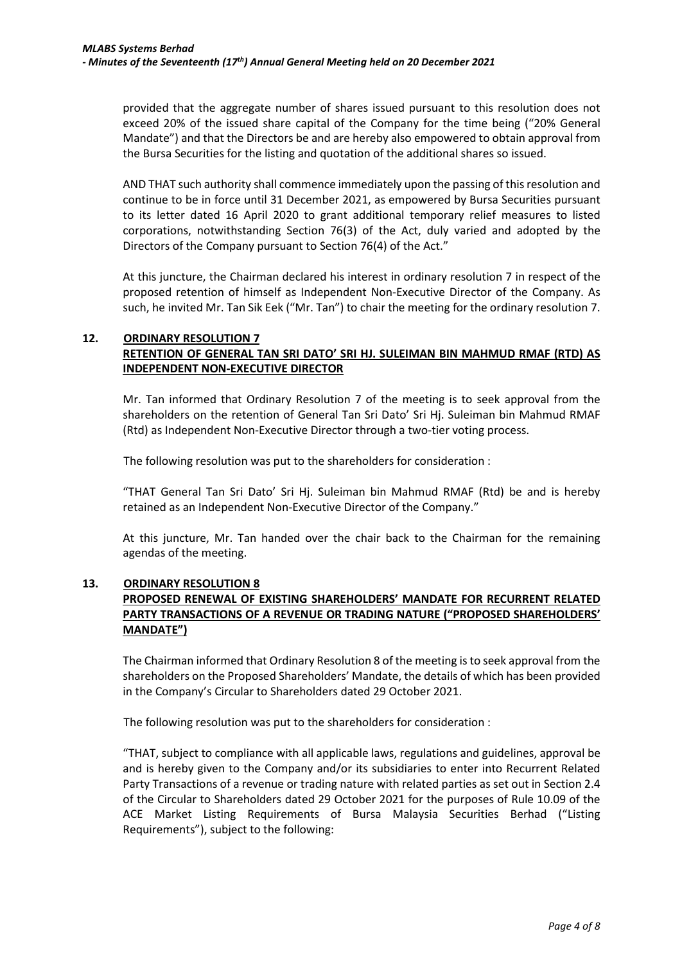provided that the aggregate number of shares issued pursuant to this resolution does not exceed 20% of the issued share capital of the Company for the time being ("20% General Mandate") and that the Directors be and are hereby also empowered to obtain approval from the Bursa Securities for the listing and quotation of the additional shares so issued.

AND THAT such authority shall commence immediately upon the passing of this resolution and continue to be in force until 31 December 2021, as empowered by Bursa Securities pursuant to its letter dated 16 April 2020 to grant additional temporary relief measures to listed corporations, notwithstanding Section 76(3) of the Act, duly varied and adopted by the Directors of the Company pursuant to Section 76(4) of the Act."

At this juncture, the Chairman declared his interest in ordinary resolution 7 in respect of the proposed retention of himself as Independent Non-Executive Director of the Company. As such, he invited Mr. Tan Sik Eek ("Mr. Tan") to chair the meeting for the ordinary resolution 7.

# **12. ORDINARY RESOLUTION 7 RETENTION OF GENERAL TAN SRI DATO' SRI HJ. SULEIMAN BIN MAHMUD RMAF (RTD) AS INDEPENDENT NON-EXECUTIVE DIRECTOR**

Mr. Tan informed that Ordinary Resolution 7 of the meeting is to seek approval from the shareholders on the retention of General Tan Sri Dato' Sri Hj. Suleiman bin Mahmud RMAF (Rtd) as Independent Non-Executive Director through a two-tier voting process.

The following resolution was put to the shareholders for consideration :

"THAT General Tan Sri Dato' Sri Hj. Suleiman bin Mahmud RMAF (Rtd) be and is hereby retained as an Independent Non-Executive Director of the Company."

At this juncture, Mr. Tan handed over the chair back to the Chairman for the remaining agendas of the meeting.

## **13. ORDINARY RESOLUTION 8 PROPOSED RENEWAL OF EXISTING SHAREHOLDERS' MANDATE FOR RECURRENT RELATED PARTY TRANSACTIONS OF A REVENUE OR TRADING NATURE ("PROPOSED SHAREHOLDERS' MANDATE")**

The Chairman informed that Ordinary Resolution 8 of the meeting is to seek approval from the shareholders on the Proposed Shareholders' Mandate, the details of which has been provided in the Company's Circular to Shareholders dated 29 October 2021.

The following resolution was put to the shareholders for consideration :

"THAT, subject to compliance with all applicable laws, regulations and guidelines, approval be and is hereby given to the Company and/or its subsidiaries to enter into Recurrent Related Party Transactions of a revenue or trading nature with related parties as set out in Section 2.4 of the Circular to Shareholders dated 29 October 2021 for the purposes of Rule 10.09 of the ACE Market Listing Requirements of Bursa Malaysia Securities Berhad ("Listing Requirements"), subject to the following: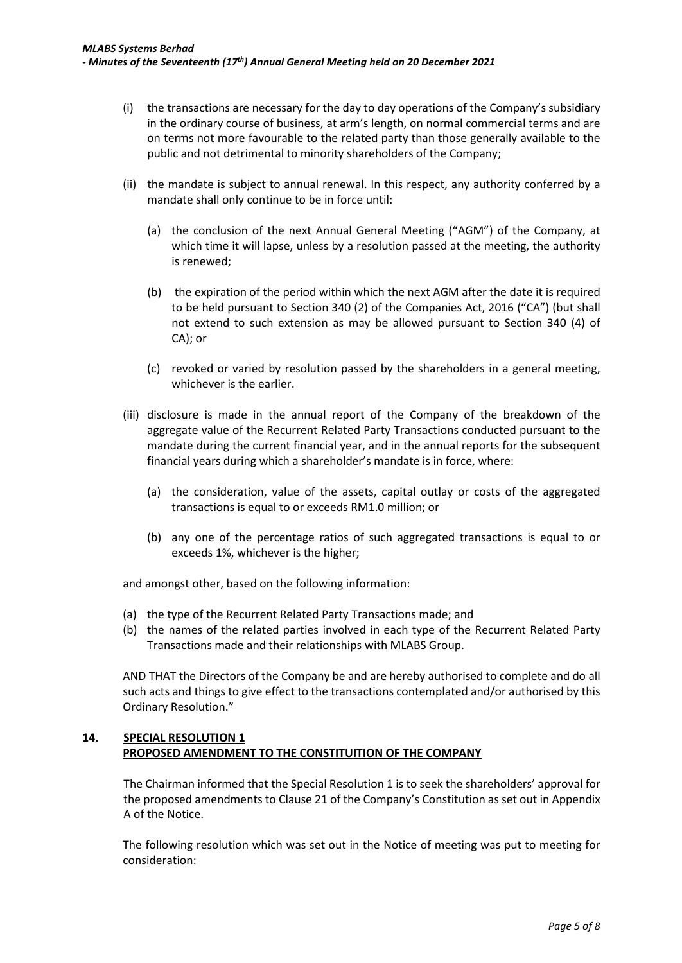- (i) the transactions are necessary for the day to day operations of the Company's subsidiary in the ordinary course of business, at arm's length, on normal commercial terms and are on terms not more favourable to the related party than those generally available to the public and not detrimental to minority shareholders of the Company;
- (ii) the mandate is subject to annual renewal. In this respect, any authority conferred by a mandate shall only continue to be in force until:
	- (a) the conclusion of the next Annual General Meeting ("AGM") of the Company, at which time it will lapse, unless by a resolution passed at the meeting, the authority is renewed;
	- (b) the expiration of the period within which the next AGM after the date it is required to be held pursuant to Section 340 (2) of the Companies Act, 2016 ("CA") (but shall not extend to such extension as may be allowed pursuant to Section 340 (4) of CA); or
	- (c) revoked or varied by resolution passed by the shareholders in a general meeting, whichever is the earlier.
- (iii) disclosure is made in the annual report of the Company of the breakdown of the aggregate value of the Recurrent Related Party Transactions conducted pursuant to the mandate during the current financial year, and in the annual reports for the subsequent financial years during which a shareholder's mandate is in force, where:
	- (a) the consideration, value of the assets, capital outlay or costs of the aggregated transactions is equal to or exceeds RM1.0 million; or
	- (b) any one of the percentage ratios of such aggregated transactions is equal to or exceeds 1%, whichever is the higher;

and amongst other, based on the following information:

- (a) the type of the Recurrent Related Party Transactions made; and
- (b) the names of the related parties involved in each type of the Recurrent Related Party Transactions made and their relationships with MLABS Group.

AND THAT the Directors of the Company be and are hereby authorised to complete and do all such acts and things to give effect to the transactions contemplated and/or authorised by this Ordinary Resolution."

### **14. SPECIAL RESOLUTION 1 PROPOSED AMENDMENT TO THE CONSTITUITION OF THE COMPANY**

The Chairman informed that the Special Resolution 1 is to seek the shareholders' approval for the proposed amendments to Clause 21 of the Company's Constitution as set out in Appendix A of the Notice.

The following resolution which was set out in the Notice of meeting was put to meeting for consideration: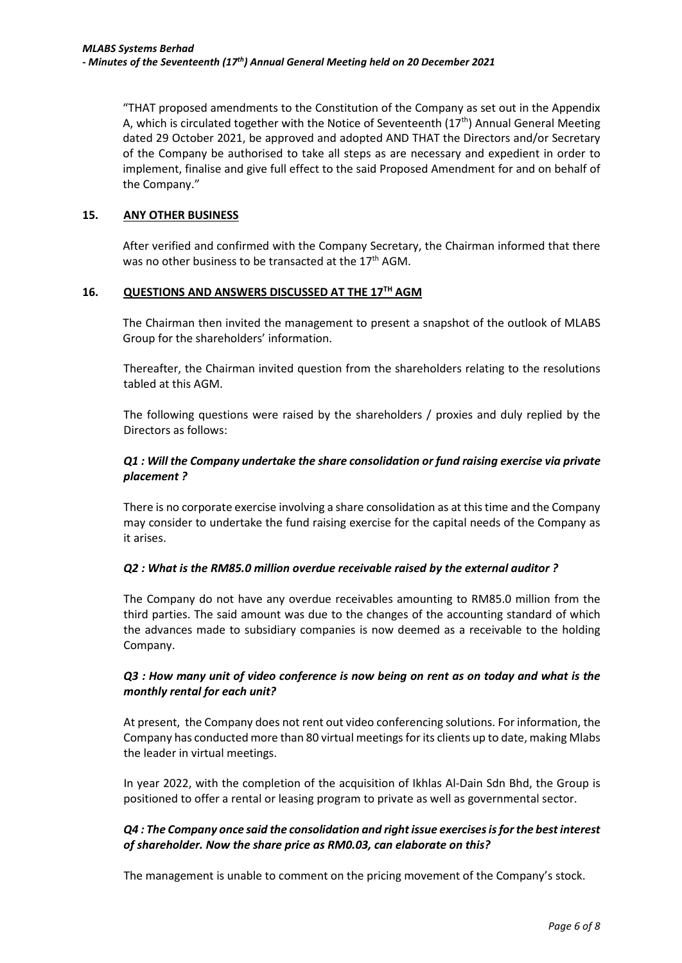"THAT proposed amendments to the Constitution of the Company as set out in the Appendix A, which is circulated together with the Notice of Seventeenth  $(17<sup>th</sup>)$  Annual General Meeting dated 29 October 2021, be approved and adopted AND THAT the Directors and/or Secretary of the Company be authorised to take all steps as are necessary and expedient in order to implement, finalise and give full effect to the said Proposed Amendment for and on behalf of the Company."

### **15. ANY OTHER BUSINESS**

After verified and confirmed with the Company Secretary, the Chairman informed that there was no other business to be transacted at the  $17<sup>th</sup>$  AGM.

### **16. QUESTIONS AND ANSWERS DISCUSSED AT THE 17TH AGM**

The Chairman then invited the management to present a snapshot of the outlook of MLABS Group for the shareholders' information.

Thereafter, the Chairman invited question from the shareholders relating to the resolutions tabled at this AGM.

The following questions were raised by the shareholders / proxies and duly replied by the Directors as follows:

## *Q1 : Will the Company undertake the share consolidation or fund raising exercise via private placement ?*

There is no corporate exercise involving a share consolidation as at this time and the Company may consider to undertake the fund raising exercise for the capital needs of the Company as it arises.

### *Q2 : What is the RM85.0 million overdue receivable raised by the external auditor ?*

The Company do not have any overdue receivables amounting to RM85.0 million from the third parties. The said amount was due to the changes of the accounting standard of which the advances made to subsidiary companies is now deemed as a receivable to the holding Company.

# *Q3 : How many unit of video conference is now being on rent as on today and what is the monthly rental for each unit?*

At present, the Company does not rent out video conferencing solutions. For information, the Company has conducted more than 80 virtual meetings for its clients up to date, making Mlabs the leader in virtual meetings.

In year 2022, with the completion of the acquisition of Ikhlas Al-Dain Sdn Bhd, the Group is positioned to offer a rental or leasing program to private as well as governmental sector.

# *Q4 : The Company once said the consolidation and right issue exercisesis for the best interest of shareholder. Now the share price as RM0.03, can elaborate on this?*

The management is unable to comment on the pricing movement of the Company's stock.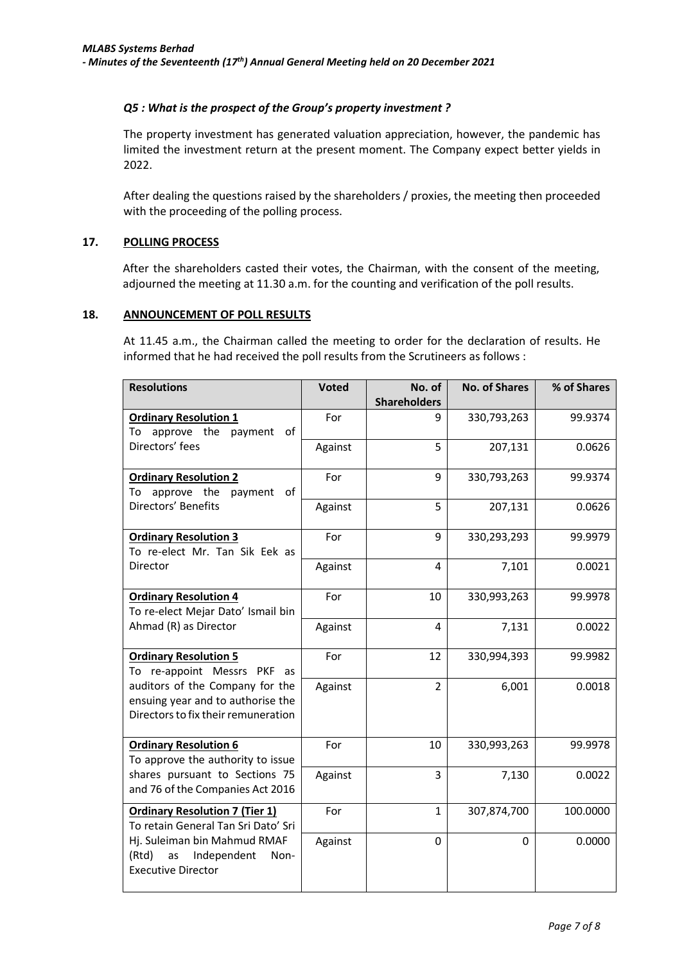## *Q5 : What is the prospect of the Group's property investment ?*

The property investment has generated valuation appreciation, however, the pandemic has limited the investment return at the present moment. The Company expect better yields in 2022.

After dealing the questions raised by the shareholders / proxies, the meeting then proceeded with the proceeding of the polling process.

### **17. POLLING PROCESS**

After the shareholders casted their votes, the Chairman, with the consent of the meeting, adjourned the meeting at 11.30 a.m. for the counting and verification of the poll results.

#### **18. ANNOUNCEMENT OF POLL RESULTS**

At 11.45 a.m., the Chairman called the meeting to order for the declaration of results. He informed that he had received the poll results from the Scrutineers as follows :

| <b>Resolutions</b>                    | <b>Voted</b> | No. of              | <b>No. of Shares</b> | % of Shares |
|---------------------------------------|--------------|---------------------|----------------------|-------------|
|                                       |              | <b>Shareholders</b> |                      |             |
| <b>Ordinary Resolution 1</b>          | For          | 9                   | 330,793,263          | 99.9374     |
| To approve the<br>payment<br>of       |              |                     |                      |             |
| Directors' fees                       | Against      | 5                   | 207,131              | 0.0626      |
|                                       |              |                     |                      |             |
| <b>Ordinary Resolution 2</b>          | For          | 9                   | 330,793,263          | 99.9374     |
| approve the<br>payment<br>of<br>To    |              |                     |                      |             |
| Directors' Benefits                   | Against      | 5                   | 207,131              | 0.0626      |
|                                       |              |                     |                      |             |
| <b>Ordinary Resolution 3</b>          | For          | 9                   | 330,293,293          | 99.9979     |
| To re-elect Mr. Tan Sik Eek as        |              |                     |                      |             |
| Director                              | Against      | 4                   | 7,101                | 0.0021      |
|                                       |              |                     |                      |             |
| <b>Ordinary Resolution 4</b>          | For          | 10                  | 330,993,263          | 99.9978     |
| To re-elect Mejar Dato' Ismail bin    |              |                     |                      |             |
| Ahmad (R) as Director                 | Against      | 4                   | 7,131                | 0.0022      |
|                                       |              |                     |                      |             |
| <b>Ordinary Resolution 5</b>          | For          | 12                  | 330,994,393          | 99.9982     |
| To re-appoint Messrs PKF<br>as        |              |                     |                      |             |
| auditors of the Company for the       | Against      | $\overline{2}$      | 6,001                | 0.0018      |
| ensuing year and to authorise the     |              |                     |                      |             |
| Directors to fix their remuneration   |              |                     |                      |             |
|                                       |              |                     |                      |             |
| <b>Ordinary Resolution 6</b>          | For          | 10                  | 330,993,263          | 99.9978     |
| To approve the authority to issue     |              |                     |                      |             |
| shares pursuant to Sections 75        | Against      | 3                   | 7,130                | 0.0022      |
| and 76 of the Companies Act 2016      |              |                     |                      |             |
|                                       |              |                     |                      |             |
| <b>Ordinary Resolution 7 (Tier 1)</b> | For          | $\mathbf{1}$        | 307,874,700          | 100.0000    |
| To retain General Tan Sri Dato' Sri   |              |                     |                      |             |
| Hj. Suleiman bin Mahmud RMAF          | Against      | 0                   | $\Omega$             | 0.0000      |
| (Rtd)<br>Independent<br>as<br>Non-    |              |                     |                      |             |
| <b>Executive Director</b>             |              |                     |                      |             |
|                                       |              |                     |                      |             |